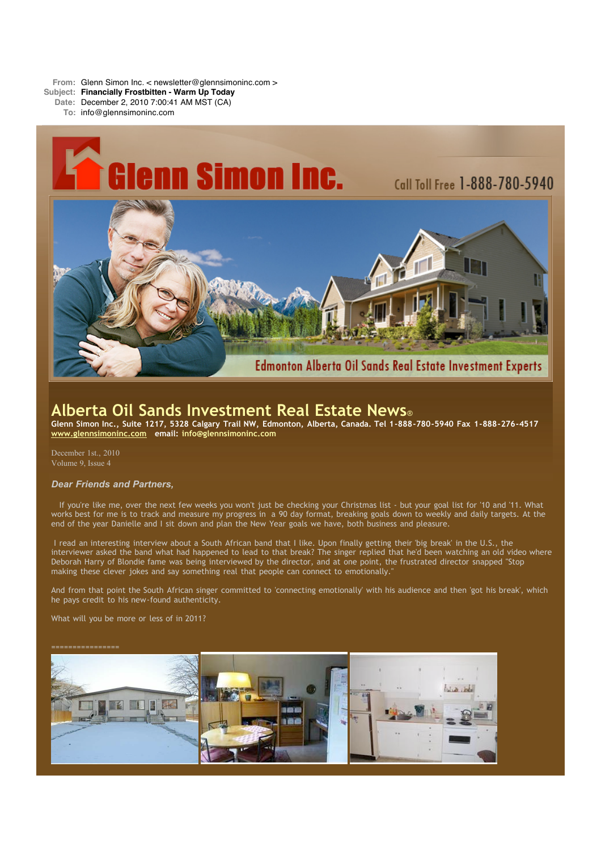**From:** Glenn Simon Inc. < newsletter@glennsimoninc.com >

**Subject: Financially Frostbitten - Warm Up Today**

**Date:** December 2, 2010 7:00:41 AM MST (CA)

**To:** info@glennsimoninc.com



# **Alberta Oil Sands Investment Real Estate News**®

Glenn Simon Inc., Suite 1217, 5328 Calgary Trail NW, Edmonton, Alberta, Canada. Tel 1-888-780-5940 Fax 1-888-276-4517 **[www.glennsimoninc.com](http://www.glennsimoninc.com/) email: [info@glennsimoninc.com](mailto:info@glennsimoninc.com)**

December 1st., 2010 Volume 9, Issue 4

## *Dear Friends and Partners,*

If you're like me, over the next few weeks you won't just be checking your Christmas list - but your goal list for '10 and '11. What works best for me is to track and measure my progress in a 90 day format, breaking goals down to weekly and daily targets. At the end of the year Danielle and I sit down and plan the New Year goals we have, both business and pleasure.

I read an interesting interview about a South African band that I like. Upon finally getting their 'big break' in the U.S., the interviewer asked the band what had happened to lead to that break? The singer replied that he'd been watching an old video where Deborah Harry of Blondie fame was being interviewed by the director, and at one point, the frustrated director snapped "Stop making these clever jokes and say something real that people can connect to emotionally."

And from that point the South African singer committed to 'connecting emotionally' with his audience and then 'got his break', which he pays credit to his new-found authenticity.

What will you be more or less of in 2011?

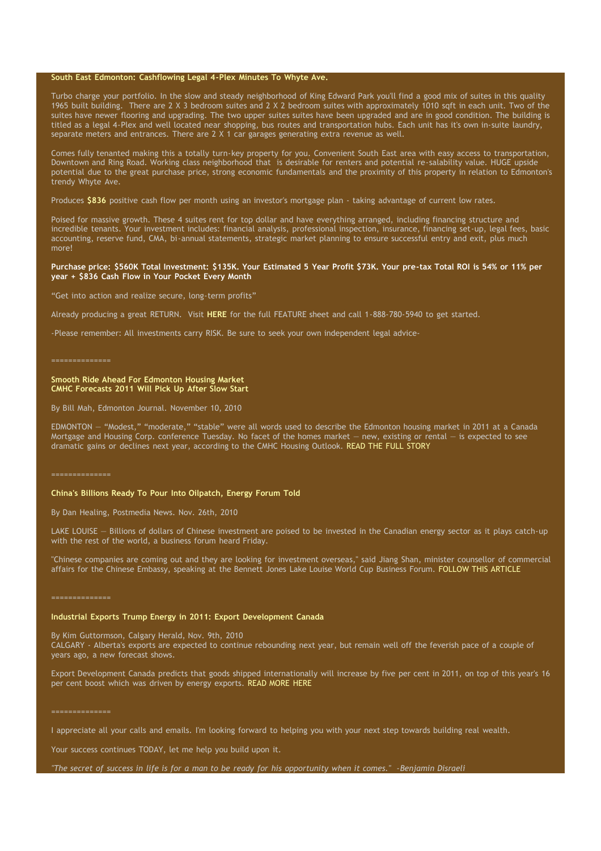### **South East Edmonton: [Cashflowing](http://www.glennsimoninc.com/featured_detail.php?id=77) Legal 4-Plex Minutes To Whyte Ave.**

Turbo charge your portfolio. In the slow and steady neighborhood of King Edward Park you'll find a good mix of suites in this quality 1965 built building. There are 2 X 3 bedroom suites and 2 X 2 bedroom suites with approximately 1010 sqft in each unit. Two of the suites have newer flooring and upgrading. The two upper suites suites have been upgraded and are in good condition. The building is titled as a legal 4-Plex and well located near shopping, bus routes and transportation hubs. Each unit has it's own in-suite laundry, separate meters and entrances. There are 2 X 1 car garages generating extra revenue as well.

Comes fully tenanted making this a totally turn-key property for you. Convenient South East area with easy access to transportation, Downtown and Ring Road. Working class neighborhood that is desirable for renters and potential re-salability value. HUGE upside potential due to the great purchase price, strong economic fundamentals and the proximity of this property in relation to Edmonton's trendy Whyte Ave.

Produces **[\\$836](http://www.glennsimoninc.com/featured_detail.php?id=77)** positive cash flow per month using an investor's mortgage plan - taking advantage of current low rates.

Poised for massive growth. These 4 suites rent for top dollar and have everything arranged, including financing structure and incredible tenants. Your investment includes: financial analysis, professional inspection, insurance, financing set-up, legal fees, basic accounting, reserve fund, CMA, bi-annual statements, strategic market planning to ensure successful entry and exit, plus much more!

#### Purchase price: \$560K Total Investment: \$135K. Your Estimated 5 Year Profit \$73K. Your pre-tax Total ROI is 54% or 11% per **year + \$836 Cash Flow in Your Pocket Every Month**

"Get into action and realize secure, long-term profits"

Already producing a great RETURN. Visit **[HERE](http://www.glennsimoninc.com/featured_detail.php?id=77)** for the full FEATURE sheet and call 1-888-780-5940 to get started.

-Please remember: All investments carry RISK. Be sure to seek your own independent legal advice-

#### **Smooth Ride Ahead For Edmonton Housing Market CMHC Forecasts 2011 Will Pick Up After Slow Start**

By Bill Mah, Edmonton Journal. November 10, 2010

EDMONTON — "Modest," "moderate," "stable" were all words used to describe the Edmonton housing market in 2011 at a Canada Mortgage and Housing Corp. conference Tuesday. No facet of the homes market — new, existing or rental — is expected to see dramatic gains or declines next year, according to the CMHC Housing Outlook. READ THE FULL [STORY](http://www.edmontonjournal.com/business/Smooth+ride+ahead+Edmonton+housing+market/3802476/story.html#ixzz16W7m8Lya)

#### ==============

#### **China's Billions Ready To Pour Into Oilpatch, Energy Forum Told**

By Dan Healing, Postmedia News. Nov. 26th, 2010

LAKE LOUISE — Billions of dollars of Chinese investment are poised to be invested in the Canadian energy sector as it plays catch-up with the rest of the world, a business forum heard Friday.

"Chinese companies are coming out and they are looking for investment overseas," said Jiang Shan, minister counsellor of commercial affairs for the Chinese Embassy, speaking at the Bennett Jones Lake Louise World Cup Business Forum. [FOLLOW](http://www.calgaryherald.com/business/China+billions+ready+pour+into+oilpatch+energy+forum+told/3890867/story.html#ixzz16W3quabP) THIS ARTICLE

==============

#### **Industrial Exports Trump Energy in 2011: Export Development Canada**

By Kim Guttormson, Calgary Herald, Nov. 9th, 2010

CALGARY - Alberta's exports are expected to continue rebounding next year, but remain well off the feverish pace of a couple of years ago, a new forecast shows.

Export Development Canada predicts that goods shipped internationally will increase by five per cent in 2011, on top of this year's 16 per cent boost which was driven by energy exports. READ [MORE](http://www.calgaryherald.com/business/Industrial+exports+trump+energy+2011+Export+Development+Canada/3800875/story.html#ixzz16W5G4lWq) HERE

==============

I appreciate all your calls and emails. I'm looking forward to helping you with your next step towards building real wealth.

Your success continues TODAY, let me help you build upon it.

"The secret of success in life is for a man to be ready for his opportunity when it comes." -Benjamin Disraeli